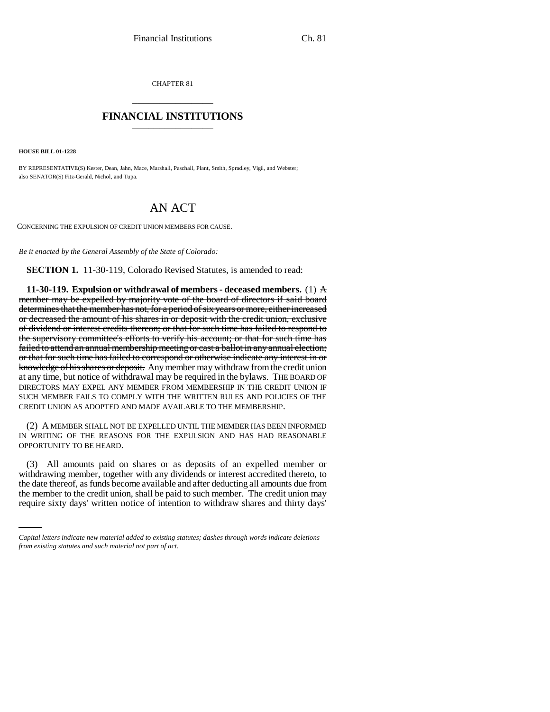CHAPTER 81 \_\_\_\_\_\_\_\_\_\_\_\_\_\_\_

## **FINANCIAL INSTITUTIONS** \_\_\_\_\_\_\_\_\_\_\_\_\_\_\_

**HOUSE BILL 01-1228**

BY REPRESENTATIVE(S) Kester, Dean, Jahn, Mace, Marshall, Paschall, Plant, Smith, Spradley, Vigil, and Webster; also SENATOR(S) Fitz-Gerald, Nichol, and Tupa.

## AN ACT

CONCERNING THE EXPULSION OF CREDIT UNION MEMBERS FOR CAUSE.

*Be it enacted by the General Assembly of the State of Colorado:*

**SECTION 1.** 11-30-119, Colorado Revised Statutes, is amended to read:

**11-30-119. Expulsion or withdrawal of members - deceased members.** (1) A member may be expelled by majority vote of the board of directors if said board determines that the member has not, for a period of six years or more, either increased or decreased the amount of his shares in or deposit with the credit union, exclusive of dividend or interest credits thereon; or that for such time has failed to respond to the supervisory committee's efforts to verify his account; or that for such time has failed to attend an annual membership meeting or cast a ballot in any annual election; or that for such time has failed to correspond or otherwise indicate any interest in or knowledge of his shares or deposit. Any member may withdraw from the credit union at any time, but notice of withdrawal may be required in the bylaws. THE BOARD OF DIRECTORS MAY EXPEL ANY MEMBER FROM MEMBERSHIP IN THE CREDIT UNION IF SUCH MEMBER FAILS TO COMPLY WITH THE WRITTEN RULES AND POLICIES OF THE CREDIT UNION AS ADOPTED AND MADE AVAILABLE TO THE MEMBERSHIP.

(2) A MEMBER SHALL NOT BE EXPELLED UNTIL THE MEMBER HAS BEEN INFORMED IN WRITING OF THE REASONS FOR THE EXPULSION AND HAS HAD REASONABLE OPPORTUNITY TO BE HEARD.

the date thereof, as funds become available and after deducting all amounts due from (3) All amounts paid on shares or as deposits of an expelled member or withdrawing member, together with any dividends or interest accredited thereto, to the member to the credit union, shall be paid to such member. The credit union may require sixty days' written notice of intention to withdraw shares and thirty days'

*Capital letters indicate new material added to existing statutes; dashes through words indicate deletions from existing statutes and such material not part of act.*